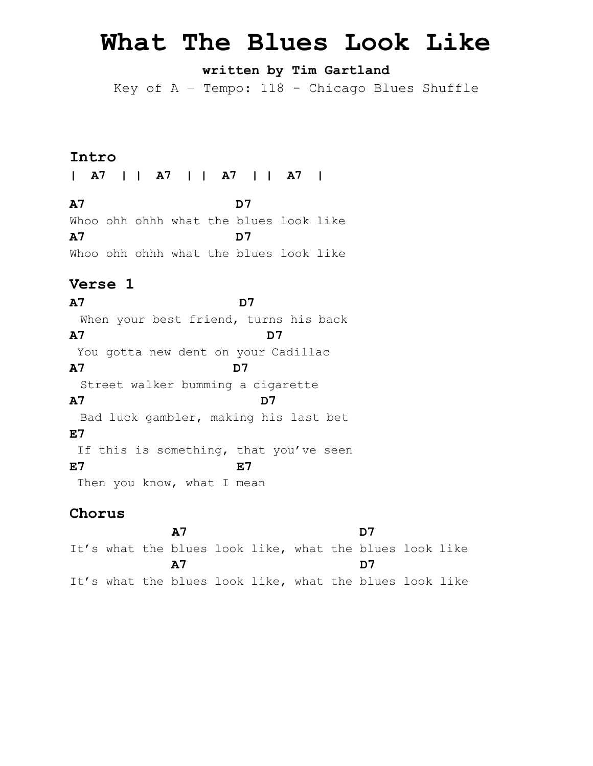# **What The Blues Look Like**

# **written by Tim Gartland**

Key of  $A$  - Tempo: 118 - Chicago Blues Shuffle

### **Intro**

**| A7 | | A7 | | A7 | | A7 |**

**A7 D7** Whoo ohh ohhh what the blues look like **A7 D7** Whoo ohh ohhh what the blues look like

# **Verse 1**

**A7 D7** When your best friend, turns his back **A7 D7** You gotta new dent on your Cadillac **A7 D7** Street walker bumming a cigarette **A7 D7** Bad luck gambler, making his last bet **E7** If this is something, that you've seen **E7 E7** Then you know, what I mean

### **Chorus**

 **A7 D7**  It's what the blues look like, what the blues look like **A7 D7** It's what the blues look like, what the blues look like